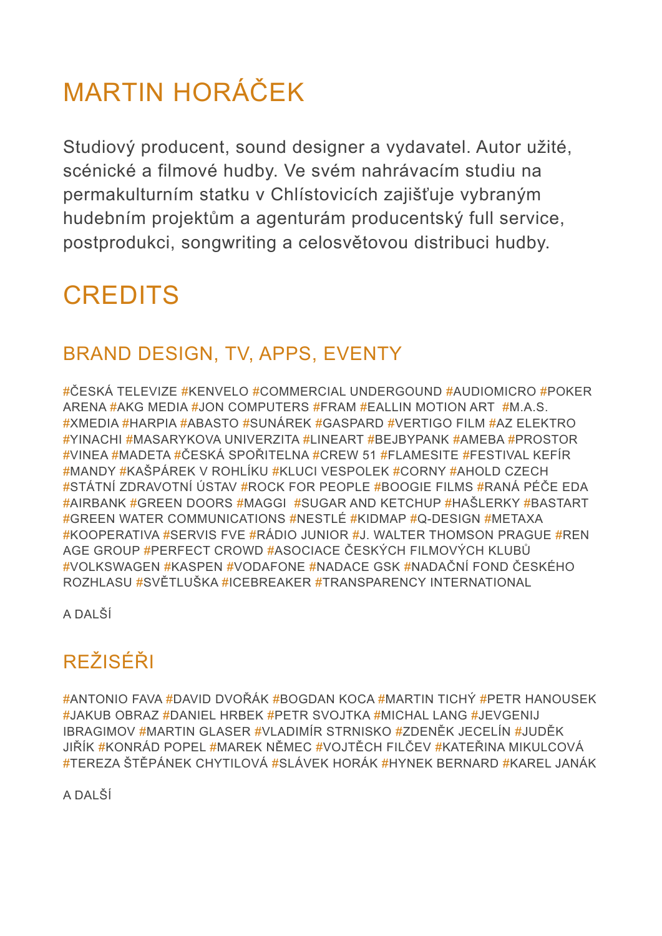# MARTIN HORÁČEK

Studiový producent, sound designer a vydavatel. Autor užité, scénické a filmové hudby. Ve svém nahrávacím studiu na permakulturním statku v Chlístovicích zajišťuje vybraným hudebním projektům a agenturám producentský full service, postprodukci, songwriting a celosvětovou distribuci hudby.

## **CREDITS**

#### BRAND DESIGN, TV, APPS, EVENTY

#ČESKÁ TELEVIZE #KENVELO #COMMERCIAL UNDERGOUND #AUDIOMICRO #POKER ARENA #AKG MEDIA #JON COMPUTERS #FRAM #EALLIN MOTION ART #M.A.S. #XMEDIA #HARPIA #ABASTO #SUNÁREK #GASPARD #VERTIGO FILM #AZ ELEKTRO #YINACHI #MASARYKOVA UNIVERZITA #LINEART #BEJBYPANK #AMEBA #PROSTOR #VINEA #MADETA #ČESKÁ SPOŘITELNA #CREW 51 #FLAMESITE #FESTIVAL KEFÍR #MANDY #KAŠPÁREK V ROHLÍKU #KLUCI VESPOLEK #CORNY #AHOLD CZECH #STÁTNÍ ZDRAVOTNÍ ÚSTAV #ROCK FOR PEOPLE #BOOGIE FILMS #RANÁ PÉČE EDA #AIRBANK #GREEN DOORS #MAGGI #SUGAR AND KETCHUP #HAŠLERKY #BASTART #GREEN WATER COMMUNICATIONS #NESTLÉ #KIDMAP #Q-DESIGN #METAXA #KOOPERATIVA #SERVIS FVE #RÁDIO JUNIOR #J. WALTER THOMSON PRAGUE #REN AGE GROUP #PERFECT CROWD #ASOCIACE ČESKÝCH FILMOVÝCH KLUBŮ #VOLKSWAGEN #KASPEN #VODAFONE #NADACE GSK #NADAČNÍ FOND ČESKÉHO ROZHLASU #SVĚTLUŠKA #ICEBREAKER #TRANSPARENCY INTERNATIONAL

A DALŠÍ

## REŽISÉŘI

#ANTONIO FAVA #DAVID DVOŘÁK #BOGDAN KOCA #MARTIN TICHÝ #PETR HANOUSEK #JAKUB OBRAZ #DANIEL HRBEK #PETR SVOJTKA #MICHAL LANG #JEVGENIJ IBRAGIMOV #MARTIN GLASER #VLADIMÍR STRNISKO #ZDENĚK JECELÍN #JUDĚK JIŘÍK #KONRÁD POPEL #MAREK NĚMEC #VOJTĚCH FILČEV #KATEŘINA MIKULCOVÁ #TEREZA ŠTĚPÁNEK CHYTILOVÁ #SLÁVEK HORÁK #HYNEK BERNARD #KAREL JANÁK

A DALŠÍ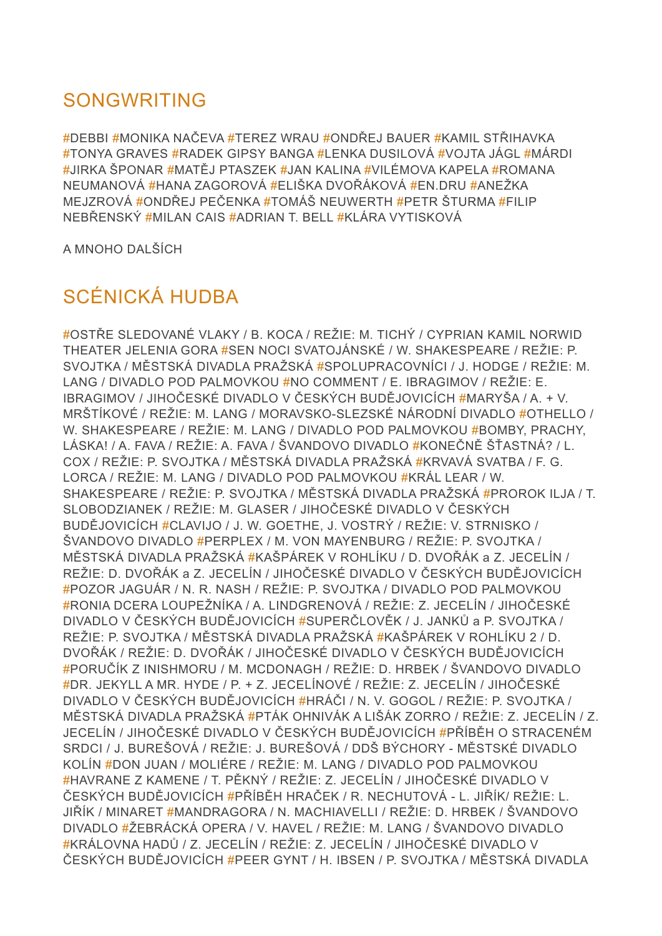#### SONGWRITING

#DEBBI #MONIKA NAČEVA #TEREZ WRAU #ONDŘEJ BAUER #KAMIL STŘIHAVKA #TONYA GRAVES #RADEK GIPSY BANGA #LENKA DUSILOVÁ #VOJTA JÁGL #MÁRDI #JIRKA ŠPONAR #MATĚJ PTASZEK #JAN KALINA #VILÉMOVA KAPELA #ROMANA NEUMANOVÁ #HANA ZAGOROVÁ #ELIŠKA DVOŘÁKOVÁ #EN.DRU #ANEŽKA MEJZROVÁ #ONDŘEJ PEČENKA #TOMÁŠ NEUWERTH #PETR ŠTURMA #FILIP NEBŘENSKÝ #MILAN CAIS #ADRIAN T. BELL #KLÁRA VYTISKOVÁ

A MNOHO DALŠÍCH

### SCÉNICKÁ HUDBA

#OSTŘE SLEDOVANÉ VLAKY / B. KOCA / REŽIE: M. TICHÝ / CYPRIAN KAMIL NORWID THEATER JELENIA GORA #SEN NOCI SVATOJÁNSKÉ / W. SHAKESPEARE / REŽIE: P. SVOJTKA / MĚSTSKÁ DIVADLA PRAŽSKÁ #SPOLUPRACOVNÍCI / J. HODGE / REŽIE: M. LANG / DIVADLO POD PALMOVKOU #NO COMMENT / E. IBRAGIMOV / REŽIE: E. IBRAGIMOV / JIHOČESKÉ DIVADLO V ČESKÝCH BUDĚJOVICÍCH #MARYŠA / A. + V. MRŠTÍKOVÉ / REŽIE: M. LANG / MORAVSKO-SLEZSKÉ NÁRODNÍ DIVADLO #OTHELLO / W. SHAKESPEARE / REŽIE: M. LANG / DIVADLO POD PALMOVKOU #BOMBY, PRACHY, LÁSKA! / A. FAVA / REŽIE: A. FAVA / ŠVANDOVO DIVADLO #KONEČNĚ ŠŤASTNÁ? / L. COX / REŽIE: P. SVOJTKA / MĚSTSKÁ DIVADLA PRAŽSKÁ #KRVAVÁ SVATBA / F. G. LORCA / REŽIE: M. LANG / DIVADLO POD PALMOVKOU #KRÁL LEAR / W. SHAKESPEARE / REŽIE: P. SVOJTKA / MĚSTSKÁ DIVADLA PRAŽSKÁ #PROROK ILJA / T. SLOBODZIANEK / REŽIE: M. GLASER / JIHOČESKÉ DIVADLO V ČESKÝCH BUDĚJOVICÍCH #CLAVIJO / J. W. GOETHE, J. VOSTRÝ / REŽIE: V. STRNISKO / ŠVANDOVO DIVADLO #PERPLEX / M. VON MAYENBURG / REŽIE: P. SVOJTKA / MĚSTSKÁ DIVADLA PRAŽSKÁ #KAŠPÁREK V ROHLÍKU / D. DVOŘÁK a Z. JECELÍN / REŽIE: D. DVOŘÁK a Z. JECELÍN / JIHOČESKÉ DIVADLO V ČESKÝCH BUDĚJOVICÍCH #POZOR JAGUÁR / N. R. NASH / REŽIE: P. SVOJTKA / DIVADLO POD PALMOVKOU #RONIA DCERA LOUPEŽNÍKA / A. LINDGRENOVÁ / REŽIE: Z. JECELÍN / JIHOČESKÉ DIVADLO V ČESKÝCH BUDĚJOVICÍCH #SUPERČLOVĚK / J. JANKŮ a P. SVOJTKA / REŽIE: P. SVOJTKA / MĚSTSKÁ DIVADLA PRAŽSKÁ #KAŠPÁREK V ROHLÍKU 2 / D. DVOŘÁK / REŽIE: D. DVOŘÁK / JIHOČESKÉ DIVADLO V ČESKÝCH BUDĚJOVICÍCH #PORUČÍK Z INISHMORU / M. MCDONAGH / REŽIE: D. HRBEK / ŠVANDOVO DIVADLO #DR. JEKYLL A MR. HYDE / P. + Z. JECELÍNOVÉ / REŽIE: Z. JECELÍN / JIHOČESKÉ DIVADLO V ČESKÝCH BUDĚJOVICÍCH #HRÁČI / N. V. GOGOL / REŽIE: P. SVOJTKA / MĚSTSKÁ DIVADLA PRAŽSKÁ #PTÁK OHNIVÁK A LIŠÁK ZORRO / REŽIE: Z. JECELÍN / Z. JECELÍN / JIHOČESKÉ DIVADLO V ČESKÝCH BUDĚJOVICÍCH #PŘÍBĚH O STRACENÉM SRDCI / J. BUREŠOVÁ / REŽIE: J. BUREŠOVÁ / DDŠ BÝCHORY - MĚSTSKÉ DIVADLO KOLÍN #DON JUAN / MOLIÉRE / REŽIE: M. LANG / DIVADLO POD PALMOVKOU #HAVRANE Z KAMENE / T. PĚKNÝ / REŽIE: Z. JECELÍN / JIHOČESKÉ DIVADLO V ČESKÝCH BUDĚJOVICÍCH #PŘÍBĚH HRAČEK / R. NECHUTOVÁ - L. JIŘÍK/ REŽIE: L. JIŘÍK / MINARET #MANDRAGORA / N. MACHIAVELLI / REŽIE: D. HRBEK / ŠVANDOVO DIVADLO #ŽEBRÁCKÁ OPERA / V. HAVEL / REŽIE: M. LANG / ŠVANDOVO DIVADLO #KRÁLOVNA HADŮ / Z. JECELÍN / REŽIE: Z. JECELÍN / JIHOČESKÉ DIVADLO V ČESKÝCH BUDĚJOVICÍCH #PEER GYNT / H. IBSEN / P. SVOJTKA / MĚSTSKÁ DIVADLA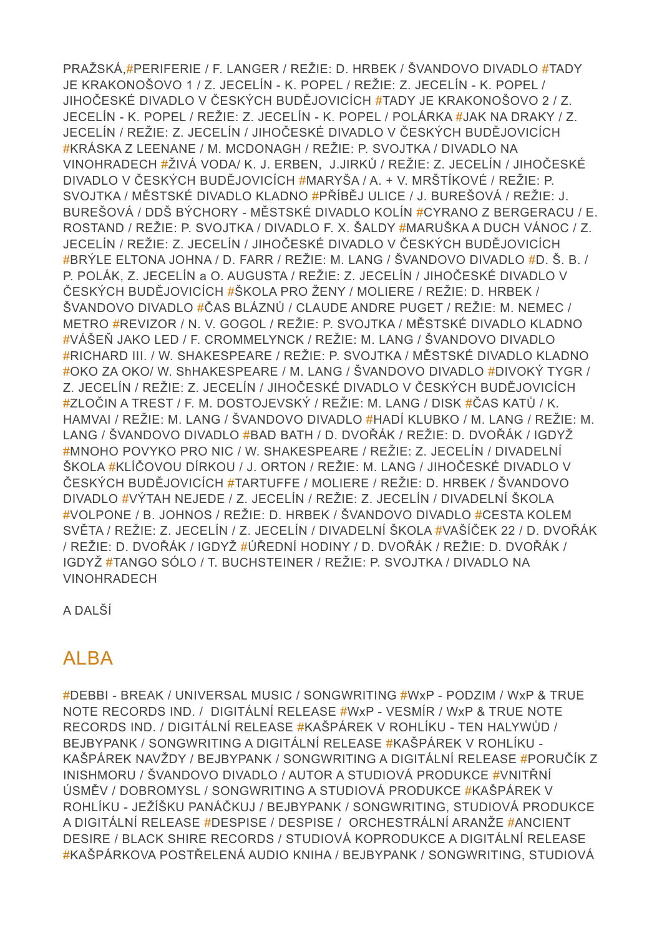PRAŽSKÁ,#PERIFERIE / F. LANGER / REŽIE: D. HRBEK / ŠVANDOVO DIVADLO #TADY JE KRAKONOŠOVO 1 / Z. JECELÍN - K. POPEL / REŽIE: Z. JECELÍN - K. POPEL / JIHOČESKÉ DIVADLO V ČESKÝCH BUDĚJOVICÍCH #TADY JE KRAKONOŠOVO 2 / Z. JECELÍN - K. POPEL / REŽIE: Z. JECELÍN - K. POPEL / POLÁRKA #JAK NA DRAKY / Z. JECELÍN / REŽIE: Z. JECELÍN / JIHOČESKÉ DIVADLO V ČESKÝCH BUDĚJOVICÍCH #KRÁSKA Z LEENANE / M. MCDONAGH / REŽIE: P. SVOJTKA / DIVADLO NA VINOHRADECH #ŽIVÁ VODA/ K. J. ERBEN, J.JIRKŮ / REŽIE: Z. JECELÍN / JIHOČESKÉ DIVADLO V ČESKÝCH BUDĚJOVICÍCH #MARYŠA / A. + V. MRŠTÍKOVÉ / REŽIE: P. SVOJTKA / MĚSTSKÉ DIVADLO KLADNO #PŘÍBĚJ ULICE / J. BUREŠOVÁ / REŽIE: J. BUREŠOVÁ / DDŠ BÝCHORY - MĚSTSKÉ DIVADLO KOLÍN #CYRANO Z BERGERACU / E. ROSTAND / REŽIE: P. SVOJTKA / DIVADLO F. X. ŠALDY #MARUŠKA A DUCH VÁNOC / Z. JECELÍN / REŽIE: Z. JECELÍN / JIHOČESKÉ DIVADLO V ČESKÝCH BUDĚJOVICÍCH #BRÝLE ELTONA JOHNA / D. FARR / REŽIE: M. LANG / ŠVANDOVO DIVADLO #D. Š. B. / P. POLÁK, Z. JECELÍN a O. AUGUSTA / REŽIE: Z. JECELÍN / JIHOČESKÉ DIVADLO V ČESKÝCH BUDĚJOVICÍCH #ŠKOLA PRO ŽENY / MOLIERE / REŽIE: D. HRBEK / ŠVANDOVO DIVADLO #ČAS BLÁZNŮ / CLAUDE ANDRE PUGET / REŽIE: M. NEMEC / METRO #REVIZOR / N. V. GOGOL / REŽIE: P. SVOJTKA / MĚSTSKÉ DIVADLO KLADNO #VÁŠEŇ JAKO LED / F. CROMMELYNCK / REŽIE: M. LANG / ŠVANDOVO DIVADLO #RICHARD III. / W. SHAKESPEARE / REŽIE: P. SVOJTKA / MĚSTSKÉ DIVADLO KLADNO #OKO ZA OKO/ W. ShHAKESPEARE / M. LANG / ŠVANDOVO DIVADLO #DIVOKÝ TYGR / Z. JECELÍN / REŽIE: Z. JECELÍN / JIHOČESKÉ DIVADLO V ČESKÝCH BUDĚJOVICÍCH #ZLOČIN A TREST / F. M. DOSTOJEVSKÝ / REŽIE: M. LANG / DISK #ČAS KATŮ / K. HAMVAI / REŽIE: M. LANG / ŠVANDOVO DIVADLO #HADÍ KLUBKO / M. LANG / REŽIE: M. LANG / ŠVANDOVO DIVADLO #BAD BATH / D. DVOŘÁK / REŽIE: D. DVOŘÁK / IGDYŽ #MNOHO POVYKO PRO NIC / W. SHAKESPEARE / REŽIE: Z. JECELÍN / DIVADELNÍ ŠKOLA #KLÍČOVOU DÍRKOU / J. ORTON / REŽIE: M. LANG / JIHOČESKÉ DIVADLO V ČESKÝCH BUDĚJOVICÍCH #TARTUFFE / MOLIERE / REŽIE: D. HRBEK / ŠVANDOVO DIVADLO #VÝTAH NEJEDE / Z. JECELÍN / REŽIE: Z. JECELÍN / DIVADELNÍ ŠKOLA #VOLPONE / B. JOHNOS / REŽIE: D. HRBEK / ŠVANDOVO DIVADLO #CESTA KOLEM SVĚTA / REŽIE: Z. JECELÍN / Z. JECELÍN / DIVADELNÍ ŠKOLA #VAŠÍČEK 22 / D. DVOŘÁK / REŽIE: D. DVOŘÁK / IGDYŽ #ÚŘEDNÍ HODINY / D. DVOŘÁK / REŽIE: D. DVOŘÁK / IGDYŽ #TANGO SÓLO / T. BUCHSTEINER / REŽIE: P. SVOJTKA / DIVADLO NA VINOHRADECH

A DALŠÍ

#### ALBA

#DEBBI - BREAK / UNIVERSAL MUSIC / SONGWRITING #WxP - PODZIM / WxP & TRUE NOTE RECORDS IND. / DIGITÁLNÍ RELEASE #WxP - VESMÍR / WxP & TRUE NOTE RECORDS IND. / DIGITÁLNÍ RELEASE #KAŠPÁREK V ROHLÍKU - TEN HALYWŮD / BEJBYPANK / SONGWRITING A DIGITÁLNÍ RELEASE #KAŠPÁREK V ROHLÍKU - KAŠPÁREK NAVŽDY / BEJBYPANK / SONGWRITING A DIGITÁLNÍ RELEASE #PORUČÍK Z INISHMORU / ŠVANDOVO DIVADLO / AUTOR A STUDIOVÁ PRODUKCE #VNITŘNÍ ÚSMĚV / DOBROMYSL / SONGWRITING A STUDIOVÁ PRODUKCE #KAŠPÁREK V ROHLÍKU - JEŽÍŠKU PANÁČKUJ / BEJBYPANK / SONGWRITING, STUDIOVÁ PRODUKCE A DIGITÁLNÍ RELEASE #DESPISE / DESPISE / ORCHESTRÁLNÍ ARANŽE #ANCIENT DESIRE / BLACK SHIRE RECORDS / STUDIOVÁ KOPRODUKCE A DIGITÁLNÍ RELEASE #KAŠPÁRKOVA POSTŘELENÁ AUDIO KNIHA / BEJBYPANK / SONGWRITING, STUDIOVÁ